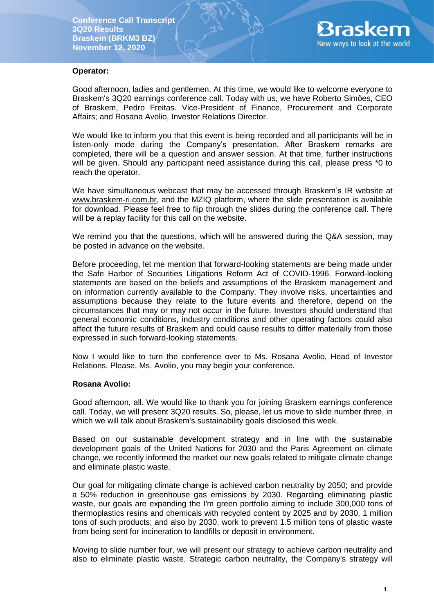

#### **Operator:**

Good afternoon, ladies and gentlemen. At this time, we would like to welcome everyone to Braskem's 3Q20 earnings conference call. Today with us, we have Roberto Simões, CEO of Braskem, Pedro Freitas. Vice-President of Finance, Procurement and Corporate Affairs; and Rosana Avolio, Investor Relations Director.

We would like to inform you that this event is being recorded and all participants will be in listen-only mode during the Company's presentation. After Braskem remarks are completed, there will be a question and answer session. At that time, further instructions will be given. Should any participant need assistance during this call, please press \*0 to reach the operator.

We have simultaneous webcast that may be accessed through Braskem's IR website at [www.braskem-ri.com.br,](http://www.braskem-ri.com.br/) and the MZIQ platform, where the slide presentation is available for download. Please feel free to flip through the slides during the conference call. There will be a replay facility for this call on the website.

We remind you that the questions, which will be answered during the Q&A session, may be posted in advance on the website.

Before proceeding, let me mention that forward-looking statements are being made under the Safe Harbor of Securities Litigations Reform Act of COVID-1996. Forward-looking statements are based on the beliefs and assumptions of the Braskem management and on information currently available to the Company. They involve risks, uncertainties and assumptions because they relate to the future events and therefore, depend on the circumstances that may or may not occur in the future. Investors should understand that general economic conditions, industry conditions and other operating factors could also affect the future results of Braskem and could cause results to differ materially from those expressed in such forward-looking statements.

Now I would like to turn the conference over to Ms. Rosana Avolio, Head of Investor Relations. Please, Ms. Avolio, you may begin your conference.

#### **Rosana Avolio:**

Good afternoon, all. We would like to thank you for joining Braskem earnings conference call. Today, we will present 3Q20 results. So, please, let us move to slide number three, in which we will talk about Braskem's sustainability goals disclosed this week.

Based on our sustainable development strategy and in line with the sustainable development goals of the United Nations for 2030 and the Paris Agreement on climate change, we recently informed the market our new goals related to mitigate climate change and eliminate plastic waste.

Our goal for mitigating climate change is achieved carbon neutrality by 2050; and provide a 50% reduction in greenhouse gas emissions by 2030. Regarding eliminating plastic waste, our goals are expanding the I'm green portfolio aiming to include 300,000 tons of thermoplastics resins and chemicals with recycled content by 2025 and by 2030, 1 million tons of such products; and also by 2030, work to prevent 1.5 million tons of plastic waste from being sent for incineration to landfills or deposit in environment.

Moving to slide number four, we will present our strategy to achieve carbon neutrality and also to eliminate plastic waste. Strategic carbon neutrality, the Company's strategy will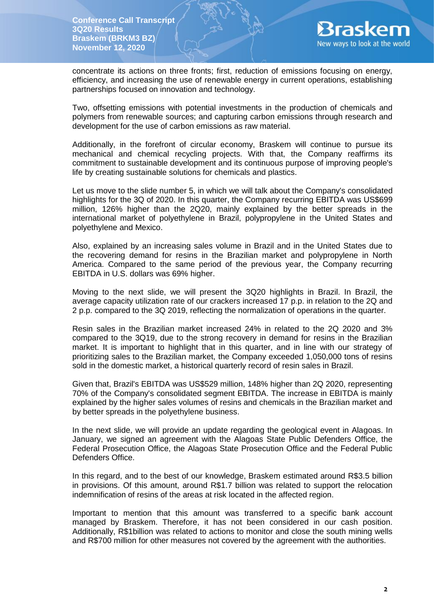

concentrate its actions on three fronts; first, reduction of emissions focusing on energy, efficiency, and increasing the use of renewable energy in current operations, establishing partnerships focused on innovation and technology.

Two, offsetting emissions with potential investments in the production of chemicals and polymers from renewable sources; and capturing carbon emissions through research and development for the use of carbon emissions as raw material.

Additionally, in the forefront of circular economy, Braskem will continue to pursue its mechanical and chemical recycling projects. With that, the Company reaffirms its commitment to sustainable development and its continuous purpose of improving people's life by creating sustainable solutions for chemicals and plastics.

Let us move to the slide number 5, in which we will talk about the Company's consolidated highlights for the 3Q of 2020. In this quarter, the Company recurring EBITDA was US\$699 million, 126% higher than the 2Q20, mainly explained by the better spreads in the international market of polyethylene in Brazil, polypropylene in the United States and polyethylene and Mexico.

Also, explained by an increasing sales volume in Brazil and in the United States due to the recovering demand for resins in the Brazilian market and polypropylene in North America. Compared to the same period of the previous year, the Company recurring EBITDA in U.S. dollars was 69% higher.

Moving to the next slide, we will present the 3Q20 highlights in Brazil. In Brazil, the average capacity utilization rate of our crackers increased 17 p.p. in relation to the 2Q and 2 p.p. compared to the 3Q 2019, reflecting the normalization of operations in the quarter.

Resin sales in the Brazilian market increased 24% in related to the 2Q 2020 and 3% compared to the 3Q19, due to the strong recovery in demand for resins in the Brazilian market. It is important to highlight that in this quarter, and in line with our strategy of prioritizing sales to the Brazilian market, the Company exceeded 1,050,000 tons of resins sold in the domestic market, a historical quarterly record of resin sales in Brazil.

Given that, Brazil's EBITDA was US\$529 million, 148% higher than 2Q 2020, representing 70% of the Company's consolidated segment EBITDA. The increase in EBITDA is mainly explained by the higher sales volumes of resins and chemicals in the Brazilian market and by better spreads in the polyethylene business.

In the next slide, we will provide an update regarding the geological event in Alagoas. In January, we signed an agreement with the Alagoas State Public Defenders Office, the Federal Prosecution Office, the Alagoas State Prosecution Office and the Federal Public Defenders Office.

In this regard, and to the best of our knowledge, Braskem estimated around R\$3.5 billion in provisions. Of this amount, around R\$1.7 billion was related to support the relocation indemnification of resins of the areas at risk located in the affected region.

Important to mention that this amount was transferred to a specific bank account managed by Braskem. Therefore, it has not been considered in our cash position. Additionally, R\$1billion was related to actions to monitor and close the south mining wells and R\$700 million for other measures not covered by the agreement with the authorities.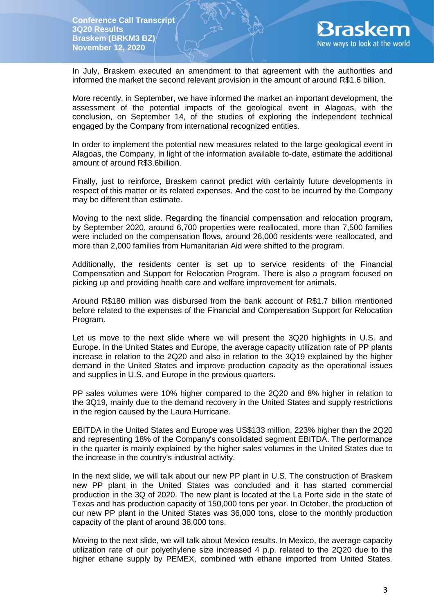

In July, Braskem executed an amendment to that agreement with the authorities and informed the market the second relevant provision in the amount of around R\$1.6 billion.

More recently, in September, we have informed the market an important development, the assessment of the potential impacts of the geological event in Alagoas, with the conclusion, on September 14, of the studies of exploring the independent technical engaged by the Company from international recognized entities.

In order to implement the potential new measures related to the large geological event in Alagoas, the Company, in light of the information available to-date, estimate the additional amount of around R\$3.6billion.

Finally, just to reinforce, Braskem cannot predict with certainty future developments in respect of this matter or its related expenses. And the cost to be incurred by the Company may be different than estimate.

Moving to the next slide. Regarding the financial compensation and relocation program, by September 2020, around 6,700 properties were reallocated, more than 7,500 families were included on the compensation flows, around 26,000 residents were reallocated, and more than 2,000 families from Humanitarian Aid were shifted to the program.

Additionally, the residents center is set up to service residents of the Financial Compensation and Support for Relocation Program. There is also a program focused on picking up and providing health care and welfare improvement for animals.

Around R\$180 million was disbursed from the bank account of R\$1.7 billion mentioned before related to the expenses of the Financial and Compensation Support for Relocation Program.

Let us move to the next slide where we will present the 3Q20 highlights in U.S. and Europe. In the United States and Europe, the average capacity utilization rate of PP plants increase in relation to the 2Q20 and also in relation to the 3Q19 explained by the higher demand in the United States and improve production capacity as the operational issues and supplies in U.S. and Europe in the previous quarters.

PP sales volumes were 10% higher compared to the 2Q20 and 8% higher in relation to the 3Q19, mainly due to the demand recovery in the United States and supply restrictions in the region caused by the Laura Hurricane.

EBITDA in the United States and Europe was US\$133 million, 223% higher than the 2Q20 and representing 18% of the Company's consolidated segment EBITDA. The performance in the quarter is mainly explained by the higher sales volumes in the United States due to the increase in the country's industrial activity.

In the next slide, we will talk about our new PP plant in U.S. The construction of Braskem new PP plant in the United States was concluded and it has started commercial production in the 3Q of 2020. The new plant is located at the La Porte side in the state of Texas and has production capacity of 150,000 tons per year. In October, the production of our new PP plant in the United States was 36,000 tons, close to the monthly production capacity of the plant of around 38,000 tons.

Moving to the next slide, we will talk about Mexico results. In Mexico, the average capacity utilization rate of our polyethylene size increased 4 p.p. related to the 2Q20 due to the higher ethane supply by PEMEX, combined with ethane imported from United States.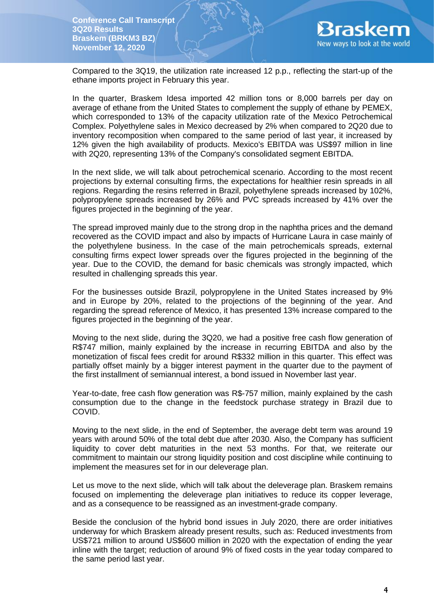

Compared to the 3Q19, the utilization rate increased 12 p.p., reflecting the start-up of the ethane imports project in February this year.

In the quarter, Braskem Idesa imported 42 million tons or 8,000 barrels per day on average of ethane from the United States to complement the supply of ethane by PEMEX, which corresponded to 13% of the capacity utilization rate of the Mexico Petrochemical Complex. Polyethylene sales in Mexico decreased by 2% when compared to 2Q20 due to inventory recomposition when compared to the same period of last year, it increased by 12% given the high availability of products. Mexico's EBITDA was US\$97 million in line with 2Q20, representing 13% of the Company's consolidated segment EBITDA.

In the next slide, we will talk about petrochemical scenario. According to the most recent projections by external consulting firms, the expectations for healthier resin spreads in all regions. Regarding the resins referred in Brazil, polyethylene spreads increased by 102%, polypropylene spreads increased by 26% and PVC spreads increased by 41% over the figures projected in the beginning of the year.

The spread improved mainly due to the strong drop in the naphtha prices and the demand recovered as the COVID impact and also by impacts of Hurricane Laura in case mainly of the polyethylene business. In the case of the main petrochemicals spreads, external consulting firms expect lower spreads over the figures projected in the beginning of the year. Due to the COVID, the demand for basic chemicals was strongly impacted, which resulted in challenging spreads this year.

For the businesses outside Brazil, polypropylene in the United States increased by 9% and in Europe by 20%, related to the projections of the beginning of the year. And regarding the spread reference of Mexico, it has presented 13% increase compared to the figures projected in the beginning of the year.

Moving to the next slide, during the 3Q20, we had a positive free cash flow generation of R\$747 million, mainly explained by the increase in recurring EBITDA and also by the monetization of fiscal fees credit for around R\$332 million in this quarter. This effect was partially offset mainly by a bigger interest payment in the quarter due to the payment of the first installment of semiannual interest, a bond issued in November last year.

Year-to-date, free cash flow generation was R\$-757 million, mainly explained by the cash consumption due to the change in the feedstock purchase strategy in Brazil due to COVID.

Moving to the next slide, in the end of September, the average debt term was around 19 years with around 50% of the total debt due after 2030. Also, the Company has sufficient liquidity to cover debt maturities in the next 53 months. For that, we reiterate our commitment to maintain our strong liquidity position and cost discipline while continuing to implement the measures set for in our deleverage plan.

Let us move to the next slide, which will talk about the deleverage plan. Braskem remains focused on implementing the deleverage plan initiatives to reduce its copper leverage, and as a consequence to be reassigned as an investment-grade company.

Beside the conclusion of the hybrid bond issues in July 2020, there are order initiatives underway for which Braskem already present results, such as: Reduced investments from US\$721 million to around US\$600 million in 2020 with the expectation of ending the year inline with the target; reduction of around 9% of fixed costs in the year today compared to the same period last year.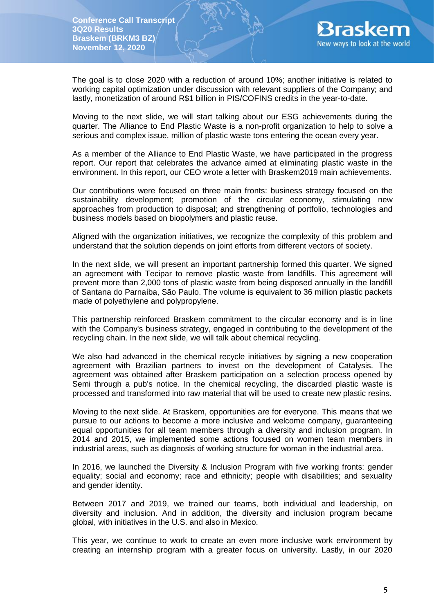

The goal is to close 2020 with a reduction of around 10%; another initiative is related to working capital optimization under discussion with relevant suppliers of the Company; and lastly, monetization of around R\$1 billion in PIS/COFINS credits in the year-to-date.

Moving to the next slide, we will start talking about our ESG achievements during the quarter. The Alliance to End Plastic Waste is a non-profit organization to help to solve a serious and complex issue, million of plastic waste tons entering the ocean every year.

As a member of the Alliance to End Plastic Waste, we have participated in the progress report. Our report that celebrates the advance aimed at eliminating plastic waste in the environment. In this report, our CEO wrote a letter with Braskem2019 main achievements.

Our contributions were focused on three main fronts: business strategy focused on the sustainability development; promotion of the circular economy, stimulating new approaches from production to disposal; and strengthening of portfolio, technologies and business models based on biopolymers and plastic reuse.

Aligned with the organization initiatives, we recognize the complexity of this problem and understand that the solution depends on joint efforts from different vectors of society.

In the next slide, we will present an important partnership formed this quarter. We signed an agreement with Tecipar to remove plastic waste from landfills. This agreement will prevent more than 2,000 tons of plastic waste from being disposed annually in the landfill of Santana do Parnaíba, São Paulo. The volume is equivalent to 36 million plastic packets made of polyethylene and polypropylene.

This partnership reinforced Braskem commitment to the circular economy and is in line with the Company's business strategy, engaged in contributing to the development of the recycling chain. In the next slide, we will talk about chemical recycling.

We also had advanced in the chemical recycle initiatives by signing a new cooperation agreement with Brazilian partners to invest on the development of Catalysis. The agreement was obtained after Braskem participation on a selection process opened by Semi through a pub's notice. In the chemical recycling, the discarded plastic waste is processed and transformed into raw material that will be used to create new plastic resins.

Moving to the next slide. At Braskem, opportunities are for everyone. This means that we pursue to our actions to become a more inclusive and welcome company, guaranteeing equal opportunities for all team members through a diversity and inclusion program. In 2014 and 2015, we implemented some actions focused on women team members in industrial areas, such as diagnosis of working structure for woman in the industrial area.

In 2016, we launched the Diversity & Inclusion Program with five working fronts: gender equality; social and economy; race and ethnicity; people with disabilities; and sexuality and gender identity.

Between 2017 and 2019, we trained our teams, both individual and leadership, on diversity and inclusion. And in addition, the diversity and inclusion program became global, with initiatives in the U.S. and also in Mexico.

This year, we continue to work to create an even more inclusive work environment by creating an internship program with a greater focus on university. Lastly, in our 2020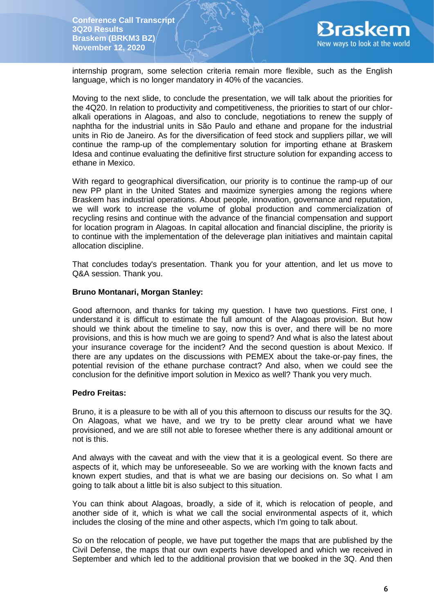

internship program, some selection criteria remain more flexible, such as the English language, which is no longer mandatory in 40% of the vacancies.

Moving to the next slide, to conclude the presentation, we will talk about the priorities for the 4Q20. In relation to productivity and competitiveness, the priorities to start of our chloralkali operations in Alagoas, and also to conclude, negotiations to renew the supply of naphtha for the industrial units in São Paulo and ethane and propane for the industrial units in Rio de Janeiro. As for the diversification of feed stock and suppliers pillar, we will continue the ramp-up of the complementary solution for importing ethane at Braskem Idesa and continue evaluating the definitive first structure solution for expanding access to ethane in Mexico.

With regard to geographical diversification, our priority is to continue the ramp-up of our new PP plant in the United States and maximize synergies among the regions where Braskem has industrial operations. About people, innovation, governance and reputation, we will work to increase the volume of global production and commercialization of recycling resins and continue with the advance of the financial compensation and support for location program in Alagoas. In capital allocation and financial discipline, the priority is to continue with the implementation of the deleverage plan initiatives and maintain capital allocation discipline.

That concludes today's presentation. Thank you for your attention, and let us move to Q&A session. Thank you.

### **Bruno Montanari, Morgan Stanley:**

Good afternoon, and thanks for taking my question. I have two questions. First one, I understand it is difficult to estimate the full amount of the Alagoas provision. But how should we think about the timeline to say, now this is over, and there will be no more provisions, and this is how much we are going to spend? And what is also the latest about your insurance coverage for the incident? And the second question is about Mexico. If there are any updates on the discussions with PEMEX about the take-or-pay fines, the potential revision of the ethane purchase contract? And also, when we could see the conclusion for the definitive import solution in Mexico as well? Thank you very much.

### **Pedro Freitas:**

Bruno, it is a pleasure to be with all of you this afternoon to discuss our results for the 3Q. On Alagoas, what we have, and we try to be pretty clear around what we have provisioned, and we are still not able to foresee whether there is any additional amount or not is this.

And always with the caveat and with the view that it is a geological event. So there are aspects of it, which may be unforeseeable. So we are working with the known facts and known expert studies, and that is what we are basing our decisions on. So what I am going to talk about a little bit is also subject to this situation.

You can think about Alagoas, broadly, a side of it, which is relocation of people, and another side of it, which is what we call the social environmental aspects of it, which includes the closing of the mine and other aspects, which I'm going to talk about.

So on the relocation of people, we have put together the maps that are published by the Civil Defense, the maps that our own experts have developed and which we received in September and which led to the additional provision that we booked in the 3Q. And then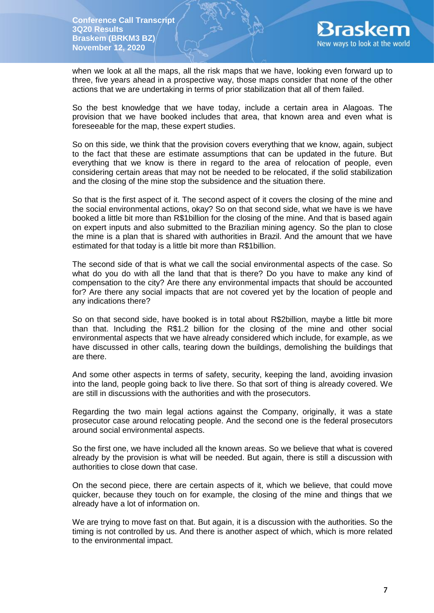

when we look at all the maps, all the risk maps that we have, looking even forward up to three, five years ahead in a prospective way, those maps consider that none of the other actions that we are undertaking in terms of prior stabilization that all of them failed.

So the best knowledge that we have today, include a certain area in Alagoas. The provision that we have booked includes that area, that known area and even what is foreseeable for the map, these expert studies.

So on this side, we think that the provision covers everything that we know, again, subject to the fact that these are estimate assumptions that can be updated in the future. But everything that we know is there in regard to the area of relocation of people, even considering certain areas that may not be needed to be relocated, if the solid stabilization and the closing of the mine stop the subsidence and the situation there.

So that is the first aspect of it. The second aspect of it covers the closing of the mine and the social environmental actions, okay? So on that second side, what we have is we have booked a little bit more than R\$1billion for the closing of the mine. And that is based again on expert inputs and also submitted to the Brazilian mining agency. So the plan to close the mine is a plan that is shared with authorities in Brazil. And the amount that we have estimated for that today is a little bit more than R\$1billion.

The second side of that is what we call the social environmental aspects of the case. So what do you do with all the land that that is there? Do you have to make any kind of compensation to the city? Are there any environmental impacts that should be accounted for? Are there any social impacts that are not covered yet by the location of people and any indications there?

So on that second side, have booked is in total about R\$2billion, maybe a little bit more than that. Including the R\$1.2 billion for the closing of the mine and other social environmental aspects that we have already considered which include, for example, as we have discussed in other calls, tearing down the buildings, demolishing the buildings that are there.

And some other aspects in terms of safety, security, keeping the land, avoiding invasion into the land, people going back to live there. So that sort of thing is already covered. We are still in discussions with the authorities and with the prosecutors.

Regarding the two main legal actions against the Company, originally, it was a state prosecutor case around relocating people. And the second one is the federal prosecutors around social environmental aspects.

So the first one, we have included all the known areas. So we believe that what is covered already by the provision is what will be needed. But again, there is still a discussion with authorities to close down that case.

On the second piece, there are certain aspects of it, which we believe, that could move quicker, because they touch on for example, the closing of the mine and things that we already have a lot of information on.

We are trying to move fast on that. But again, it is a discussion with the authorities. So the timing is not controlled by us. And there is another aspect of which, which is more related to the environmental impact.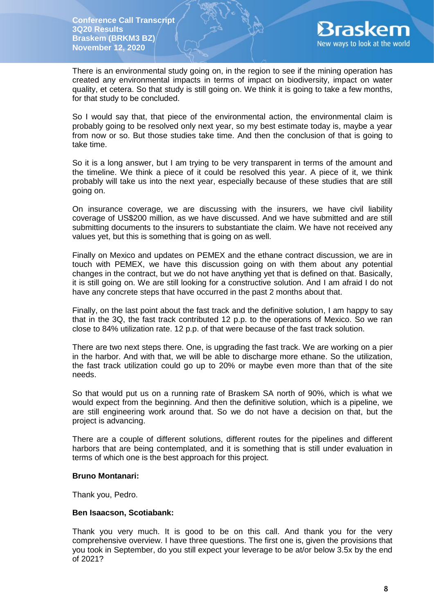

There is an environmental study going on, in the region to see if the mining operation has created any environmental impacts in terms of impact on biodiversity, impact on water quality, et cetera. So that study is still going on. We think it is going to take a few months, for that study to be concluded.

So I would say that, that piece of the environmental action, the environmental claim is probably going to be resolved only next year, so my best estimate today is, maybe a year from now or so. But those studies take time. And then the conclusion of that is going to take time.

So it is a long answer, but I am trying to be very transparent in terms of the amount and the timeline. We think a piece of it could be resolved this year. A piece of it, we think probably will take us into the next year, especially because of these studies that are still going on.

On insurance coverage, we are discussing with the insurers, we have civil liability coverage of US\$200 million, as we have discussed. And we have submitted and are still submitting documents to the insurers to substantiate the claim. We have not received any values yet, but this is something that is going on as well.

Finally on Mexico and updates on PEMEX and the ethane contract discussion, we are in touch with PEMEX, we have this discussion going on with them about any potential changes in the contract, but we do not have anything yet that is defined on that. Basically, it is still going on. We are still looking for a constructive solution. And I am afraid I do not have any concrete steps that have occurred in the past 2 months about that.

Finally, on the last point about the fast track and the definitive solution, I am happy to say that in the 3Q, the fast track contributed 12 p.p. to the operations of Mexico. So we ran close to 84% utilization rate. 12 p.p. of that were because of the fast track solution.

There are two next steps there. One, is upgrading the fast track. We are working on a pier in the harbor. And with that, we will be able to discharge more ethane. So the utilization, the fast track utilization could go up to 20% or maybe even more than that of the site needs.

So that would put us on a running rate of Braskem SA north of 90%, which is what we would expect from the beginning. And then the definitive solution, which is a pipeline, we are still engineering work around that. So we do not have a decision on that, but the project is advancing.

There are a couple of different solutions, different routes for the pipelines and different harbors that are being contemplated, and it is something that is still under evaluation in terms of which one is the best approach for this project.

### **Bruno Montanari:**

Thank you, Pedro.

# **Ben Isaacson, Scotiabank:**

Thank you very much. It is good to be on this call. And thank you for the very comprehensive overview. I have three questions. The first one is, given the provisions that you took in September, do you still expect your leverage to be at/or below 3.5x by the end of 2021?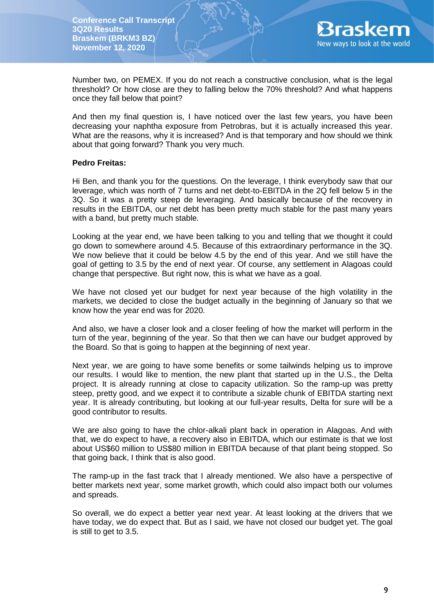

Number two, on PEMEX. If you do not reach a constructive conclusion, what is the legal threshold? Or how close are they to falling below the 70% threshold? And what happens once they fall below that point?

And then my final question is, I have noticed over the last few years, you have been decreasing your naphtha exposure from Petrobras, but it is actually increased this year. What are the reasons, why it is increased? And is that temporary and how should we think about that going forward? Thank you very much.

### **Pedro Freitas:**

Hi Ben, and thank you for the questions. On the leverage, I think everybody saw that our leverage, which was north of 7 turns and net debt-to-EBITDA in the 2Q fell below 5 in the 3Q. So it was a pretty steep de leveraging. And basically because of the recovery in results in the EBITDA, our net debt has been pretty much stable for the past many years with a band, but pretty much stable.

Looking at the year end, we have been talking to you and telling that we thought it could go down to somewhere around 4.5. Because of this extraordinary performance in the 3Q. We now believe that it could be below 4.5 by the end of this year. And we still have the goal of getting to 3.5 by the end of next year. Of course, any settlement in Alagoas could change that perspective. But right now, this is what we have as a goal.

We have not closed yet our budget for next year because of the high volatility in the markets, we decided to close the budget actually in the beginning of January so that we know how the year end was for 2020.

And also, we have a closer look and a closer feeling of how the market will perform in the turn of the year, beginning of the year. So that then we can have our budget approved by the Board. So that is going to happen at the beginning of next year.

Next year, we are going to have some benefits or some tailwinds helping us to improve our results. I would like to mention, the new plant that started up in the U.S., the Delta project. It is already running at close to capacity utilization. So the ramp-up was pretty steep, pretty good, and we expect it to contribute a sizable chunk of EBITDA starting next year. It is already contributing, but looking at our full-year results, Delta for sure will be a good contributor to results.

We are also going to have the chlor-alkali plant back in operation in Alagoas. And with that, we do expect to have, a recovery also in EBITDA, which our estimate is that we lost about US\$60 million to US\$80 million in EBITDA because of that plant being stopped. So that going back, I think that is also good.

The ramp-up in the fast track that I already mentioned. We also have a perspective of better markets next year, some market growth, which could also impact both our volumes and spreads.

So overall, we do expect a better year next year. At least looking at the drivers that we have today, we do expect that. But as I said, we have not closed our budget yet. The goal is still to get to 3.5.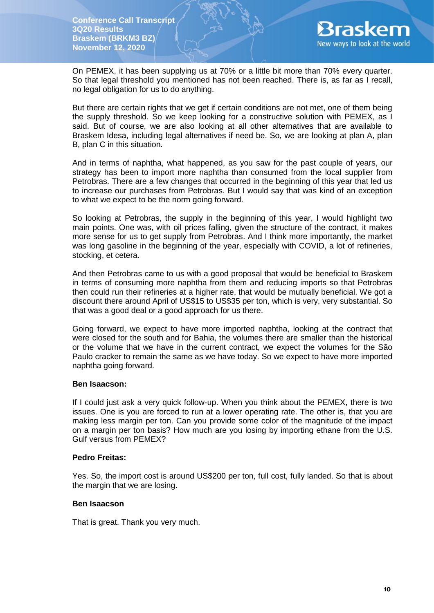

On PEMEX, it has been supplying us at 70% or a little bit more than 70% every quarter. So that legal threshold you mentioned has not been reached. There is, as far as I recall, no legal obligation for us to do anything.

But there are certain rights that we get if certain conditions are not met, one of them being the supply threshold. So we keep looking for a constructive solution with PEMEX, as I said. But of course, we are also looking at all other alternatives that are available to Braskem Idesa, including legal alternatives if need be. So, we are looking at plan A, plan B, plan C in this situation.

And in terms of naphtha, what happened, as you saw for the past couple of years, our strategy has been to import more naphtha than consumed from the local supplier from Petrobras. There are a few changes that occurred in the beginning of this year that led us to increase our purchases from Petrobras. But I would say that was kind of an exception to what we expect to be the norm going forward.

So looking at Petrobras, the supply in the beginning of this year, I would highlight two main points. One was, with oil prices falling, given the structure of the contract, it makes more sense for us to get supply from Petrobras. And I think more importantly, the market was long gasoline in the beginning of the year, especially with COVID, a lot of refineries, stocking, et cetera.

And then Petrobras came to us with a good proposal that would be beneficial to Braskem in terms of consuming more naphtha from them and reducing imports so that Petrobras then could run their refineries at a higher rate, that would be mutually beneficial. We got a discount there around April of US\$15 to US\$35 per ton, which is very, very substantial. So that was a good deal or a good approach for us there.

Going forward, we expect to have more imported naphtha, looking at the contract that were closed for the south and for Bahia, the volumes there are smaller than the historical or the volume that we have in the current contract, we expect the volumes for the São Paulo cracker to remain the same as we have today. So we expect to have more imported naphtha going forward.

# **Ben Isaacson:**

If I could just ask a very quick follow-up. When you think about the PEMEX, there is two issues. One is you are forced to run at a lower operating rate. The other is, that you are making less margin per ton. Can you provide some color of the magnitude of the impact on a margin per ton basis? How much are you losing by importing ethane from the U.S. Gulf versus from PEMEX?

### **Pedro Freitas:**

Yes. So, the import cost is around US\$200 per ton, full cost, fully landed. So that is about the margin that we are losing.

### **Ben Isaacson**

That is great. Thank you very much.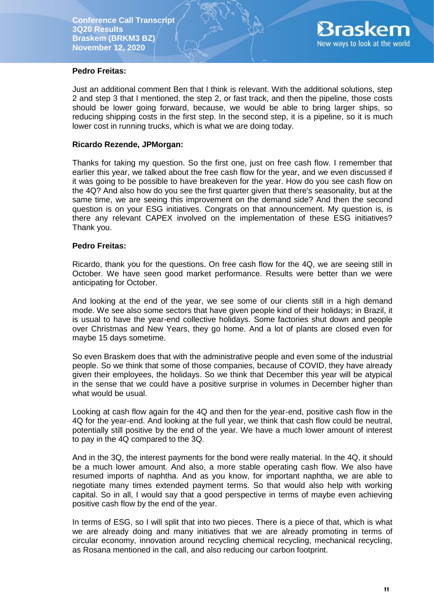

### **Pedro Freitas:**

Just an additional comment Ben that I think is relevant. With the additional solutions, step 2 and step 3 that I mentioned, the step 2, or fast track, and then the pipeline, those costs should be lower going forward, because, we would be able to bring larger ships, so reducing shipping costs in the first step. In the second step, it is a pipeline, so it is much lower cost in running trucks, which is what we are doing today.

### **Ricardo Rezende, JPMorgan:**

Thanks for taking my question. So the first one, just on free cash flow. I remember that earlier this year, we talked about the free cash flow for the year, and we even discussed if it was going to be possible to have breakeven for the year. How do you see cash flow on the 4Q? And also how do you see the first quarter given that there's seasonality, but at the same time, we are seeing this improvement on the demand side? And then the second question is on your ESG initiatives. Congrats on that announcement. My question is, is there any relevant CAPEX involved on the implementation of these ESG initiatives? Thank you.

### **Pedro Freitas:**

Ricardo, thank you for the questions. On free cash flow for the 4Q, we are seeing still in October. We have seen good market performance. Results were better than we were anticipating for October.

And looking at the end of the year, we see some of our clients still in a high demand mode. We see also some sectors that have given people kind of their holidays; in Brazil, it is usual to have the year-end collective holidays. Some factories shut down and people over Christmas and New Years, they go home. And a lot of plants are closed even for maybe 15 days sometime.

So even Braskem does that with the administrative people and even some of the industrial people. So we think that some of those companies, because of COVID, they have already given their employees, the holidays. So we think that December this year will be atypical in the sense that we could have a positive surprise in volumes in December higher than what would be usual.

Looking at cash flow again for the 4Q and then for the year-end, positive cash flow in the 4Q for the year-end. And looking at the full year, we think that cash flow could be neutral, potentially still positive by the end of the year. We have a much lower amount of interest to pay in the 4Q compared to the 3Q.

And in the 3Q, the interest payments for the bond were really material. In the 4Q, it should be a much lower amount. And also, a more stable operating cash flow. We also have resumed imports of naphtha. And as you know, for important naphtha, we are able to negotiate many times extended payment terms. So that would also help with working capital. So in all, I would say that a good perspective in terms of maybe even achieving positive cash flow by the end of the year.

In terms of ESG, so I will split that into two pieces. There is a piece of that, which is what we are already doing and many initiatives that we are already promoting in terms of circular economy, innovation around recycling chemical recycling, mechanical recycling, as Rosana mentioned in the call, and also reducing our carbon footprint.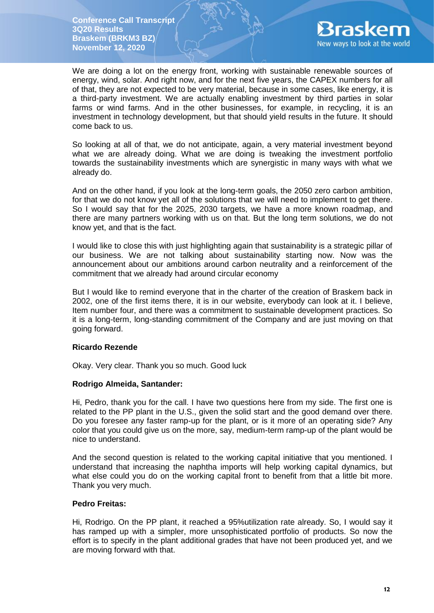

We are doing a lot on the energy front, working with sustainable renewable sources of energy, wind, solar. And right now, and for the next five years, the CAPEX numbers for all of that, they are not expected to be very material, because in some cases, like energy, it is a third-party investment. We are actually enabling investment by third parties in solar farms or wind farms. And in the other businesses, for example, in recycling, it is an investment in technology development, but that should yield results in the future. It should come back to us.

So looking at all of that, we do not anticipate, again, a very material investment beyond what we are already doing. What we are doing is tweaking the investment portfolio towards the sustainability investments which are synergistic in many ways with what we already do.

And on the other hand, if you look at the long-term goals, the 2050 zero carbon ambition, for that we do not know yet all of the solutions that we will need to implement to get there. So I would say that for the 2025, 2030 targets, we have a more known roadmap, and there are many partners working with us on that. But the long term solutions, we do not know yet, and that is the fact.

I would like to close this with just highlighting again that sustainability is a strategic pillar of our business. We are not talking about sustainability starting now. Now was the announcement about our ambitions around carbon neutrality and a reinforcement of the commitment that we already had around circular economy

But I would like to remind everyone that in the charter of the creation of Braskem back in 2002, one of the first items there, it is in our website, everybody can look at it. I believe, Item number four, and there was a commitment to sustainable development practices. So it is a long-term, long-standing commitment of the Company and are just moving on that going forward.

# **Ricardo Rezende**

Okay. Very clear. Thank you so much. Good luck

### **Rodrigo Almeida, Santander:**

Hi, Pedro, thank you for the call. I have two questions here from my side. The first one is related to the PP plant in the U.S., given the solid start and the good demand over there. Do you foresee any faster ramp-up for the plant, or is it more of an operating side? Any color that you could give us on the more, say, medium-term ramp-up of the plant would be nice to understand.

And the second question is related to the working capital initiative that you mentioned. I understand that increasing the naphtha imports will help working capital dynamics, but what else could you do on the working capital front to benefit from that a little bit more. Thank you very much.

### **Pedro Freitas:**

Hi, Rodrigo. On the PP plant, it reached a 95%utilization rate already. So, I would say it has ramped up with a simpler, more unsophisticated portfolio of products. So now the effort is to specify in the plant additional grades that have not been produced yet, and we are moving forward with that.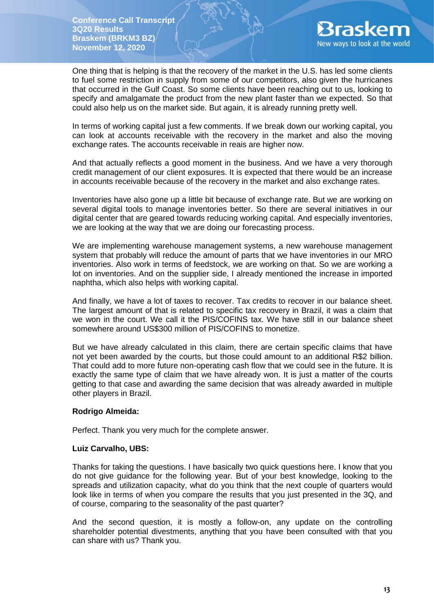

One thing that is helping is that the recovery of the market in the U.S. has led some clients to fuel some restriction in supply from some of our competitors, also given the hurricanes that occurred in the Gulf Coast. So some clients have been reaching out to us, looking to specify and amalgamate the product from the new plant faster than we expected. So that could also help us on the market side. But again, it is already running pretty well.

In terms of working capital just a few comments. If we break down our working capital, you can look at accounts receivable with the recovery in the market and also the moving exchange rates. The accounts receivable in reais are higher now.

And that actually reflects a good moment in the business. And we have a very thorough credit management of our client exposures. It is expected that there would be an increase in accounts receivable because of the recovery in the market and also exchange rates.

Inventories have also gone up a little bit because of exchange rate. But we are working on several digital tools to manage inventories better. So there are several initiatives in our digital center that are geared towards reducing working capital. And especially inventories, we are looking at the way that we are doing our forecasting process.

We are implementing warehouse management systems, a new warehouse management system that probably will reduce the amount of parts that we have inventories in our MRO inventories. Also work in terms of feedstock, we are working on that. So we are working a lot on inventories. And on the supplier side, I already mentioned the increase in imported naphtha, which also helps with working capital.

And finally, we have a lot of taxes to recover. Tax credits to recover in our balance sheet. The largest amount of that is related to specific tax recovery in Brazil, it was a claim that we won in the court. We call it the PIS/COFINS tax. We have still in our balance sheet somewhere around US\$300 million of PIS/COFINS to monetize.

But we have already calculated in this claim, there are certain specific claims that have not yet been awarded by the courts, but those could amount to an additional R\$2 billion. That could add to more future non-operating cash flow that we could see in the future. It is exactly the same type of claim that we have already won. It is just a matter of the courts getting to that case and awarding the same decision that was already awarded in multiple other players in Brazil.

# **Rodrigo Almeida:**

Perfect. Thank you very much for the complete answer.

# **Luiz Carvalho, UBS:**

Thanks for taking the questions. I have basically two quick questions here. I know that you do not give guidance for the following year. But of your best knowledge, looking to the spreads and utilization capacity, what do you think that the next couple of quarters would look like in terms of when you compare the results that you just presented in the 3Q, and of course, comparing to the seasonality of the past quarter?

And the second question, it is mostly a follow-on, any update on the controlling shareholder potential divestments, anything that you have been consulted with that you can share with us? Thank you.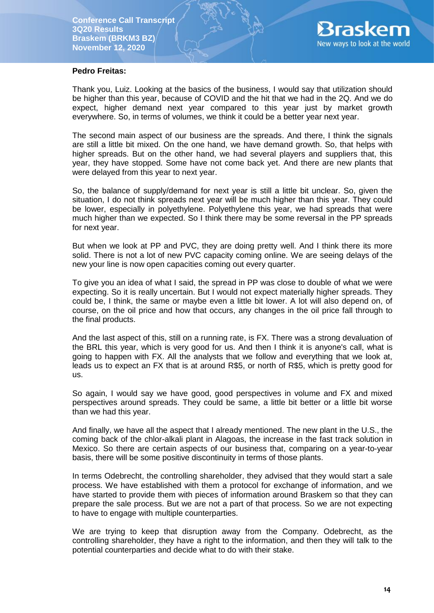

### **Pedro Freitas:**

Thank you, Luiz. Looking at the basics of the business, I would say that utilization should be higher than this year, because of COVID and the hit that we had in the 2Q. And we do expect, higher demand next year compared to this year just by market growth everywhere. So, in terms of volumes, we think it could be a better year next year.

The second main aspect of our business are the spreads. And there, I think the signals are still a little bit mixed. On the one hand, we have demand growth. So, that helps with higher spreads. But on the other hand, we had several players and suppliers that, this year, they have stopped. Some have not come back yet. And there are new plants that were delayed from this year to next year.

So, the balance of supply/demand for next year is still a little bit unclear. So, given the situation, I do not think spreads next year will be much higher than this year. They could be lower, especially in polyethylene. Polyethylene this year, we had spreads that were much higher than we expected. So I think there may be some reversal in the PP spreads for next year.

But when we look at PP and PVC, they are doing pretty well. And I think there its more solid. There is not a lot of new PVC capacity coming online. We are seeing delays of the new your line is now open capacities coming out every quarter.

To give you an idea of what I said, the spread in PP was close to double of what we were expecting. So it is really uncertain. But I would not expect materially higher spreads. They could be, I think, the same or maybe even a little bit lower. A lot will also depend on, of course, on the oil price and how that occurs, any changes in the oil price fall through to the final products.

And the last aspect of this, still on a running rate, is FX. There was a strong devaluation of the BRL this year, which is very good for us. And then I think it is anyone's call, what is going to happen with FX. All the analysts that we follow and everything that we look at, leads us to expect an FX that is at around R\$5, or north of R\$5, which is pretty good for us.

So again, I would say we have good, good perspectives in volume and FX and mixed perspectives around spreads. They could be same, a little bit better or a little bit worse than we had this year.

And finally, we have all the aspect that I already mentioned. The new plant in the U.S., the coming back of the chlor-alkali plant in Alagoas, the increase in the fast track solution in Mexico. So there are certain aspects of our business that, comparing on a year-to-year basis, there will be some positive discontinuity in terms of those plants.

In terms Odebrecht, the controlling shareholder, they advised that they would start a sale process. We have established with them a protocol for exchange of information, and we have started to provide them with pieces of information around Braskem so that they can prepare the sale process. But we are not a part of that process. So we are not expecting to have to engage with multiple counterparties.

We are trying to keep that disruption away from the Company. Odebrecht, as the controlling shareholder, they have a right to the information, and then they will talk to the potential counterparties and decide what to do with their stake.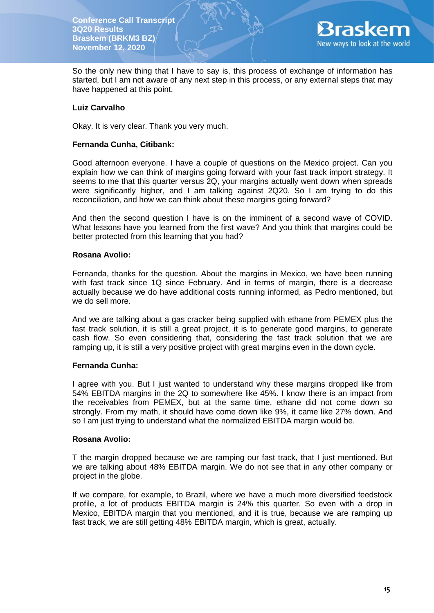

So the only new thing that I have to say is, this process of exchange of information has started, but I am not aware of any next step in this process, or any external steps that may have happened at this point.

### **Luiz Carvalho**

Okay. It is very clear. Thank you very much.

### **Fernanda Cunha, Citibank:**

Good afternoon everyone. I have a couple of questions on the Mexico project. Can you explain how we can think of margins going forward with your fast track import strategy. It seems to me that this quarter versus 2Q, your margins actually went down when spreads were significantly higher, and I am talking against 2Q20. So I am trying to do this reconciliation, and how we can think about these margins going forward?

And then the second question I have is on the imminent of a second wave of COVID. What lessons have you learned from the first wave? And you think that margins could be better protected from this learning that you had?

### **Rosana Avolio:**

Fernanda, thanks for the question. About the margins in Mexico, we have been running with fast track since 1Q since February. And in terms of margin, there is a decrease actually because we do have additional costs running informed, as Pedro mentioned, but we do sell more.

And we are talking about a gas cracker being supplied with ethane from PEMEX plus the fast track solution, it is still a great project, it is to generate good margins, to generate cash flow. So even considering that, considering the fast track solution that we are ramping up, it is still a very positive project with great margins even in the down cycle.

# **Fernanda Cunha:**

I agree with you. But I just wanted to understand why these margins dropped like from 54% EBITDA margins in the 2Q to somewhere like 45%. I know there is an impact from the receivables from PEMEX, but at the same time, ethane did not come down so strongly. From my math, it should have come down like 9%, it came like 27% down. And so I am just trying to understand what the normalized EBITDA margin would be.

### **Rosana Avolio:**

T the margin dropped because we are ramping our fast track, that I just mentioned. But we are talking about 48% EBITDA margin. We do not see that in any other company or project in the globe.

If we compare, for example, to Brazil, where we have a much more diversified feedstock profile, a lot of products EBITDA margin is 24% this quarter. So even with a drop in Mexico, EBITDA margin that you mentioned, and it is true, because we are ramping up fast track, we are still getting 48% EBITDA margin, which is great, actually.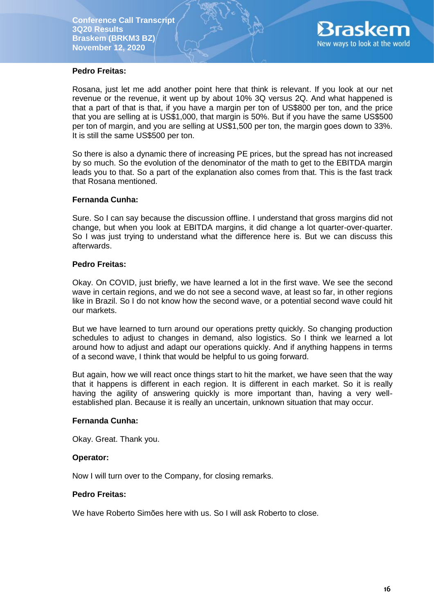

### **Pedro Freitas:**

Rosana, just let me add another point here that think is relevant. If you look at our net revenue or the revenue, it went up by about 10% 3Q versus 2Q. And what happened is that a part of that is that, if you have a margin per ton of US\$800 per ton, and the price that you are selling at is US\$1,000, that margin is 50%. But if you have the same US\$500 per ton of margin, and you are selling at US\$1,500 per ton, the margin goes down to 33%. It is still the same US\$500 per ton.

So there is also a dynamic there of increasing PE prices, but the spread has not increased by so much. So the evolution of the denominator of the math to get to the EBITDA margin leads you to that. So a part of the explanation also comes from that. This is the fast track that Rosana mentioned.

### **Fernanda Cunha:**

Sure. So I can say because the discussion offline. I understand that gross margins did not change, but when you look at EBITDA margins, it did change a lot quarter-over-quarter. So I was just trying to understand what the difference here is. But we can discuss this afterwards.

### **Pedro Freitas:**

Okay. On COVID, just briefly, we have learned a lot in the first wave. We see the second wave in certain regions, and we do not see a second wave, at least so far, in other regions like in Brazil. So I do not know how the second wave, or a potential second wave could hit our markets.

But we have learned to turn around our operations pretty quickly. So changing production schedules to adjust to changes in demand, also logistics. So I think we learned a lot around how to adjust and adapt our operations quickly. And if anything happens in terms of a second wave, I think that would be helpful to us going forward.

But again, how we will react once things start to hit the market, we have seen that the way that it happens is different in each region. It is different in each market. So it is really having the agility of answering quickly is more important than, having a very wellestablished plan. Because it is really an uncertain, unknown situation that may occur.

### **Fernanda Cunha:**

Okay. Great. Thank you.

### **Operator:**

Now I will turn over to the Company, for closing remarks.

### **Pedro Freitas:**

We have Roberto Simões here with us. So I will ask Roberto to close.